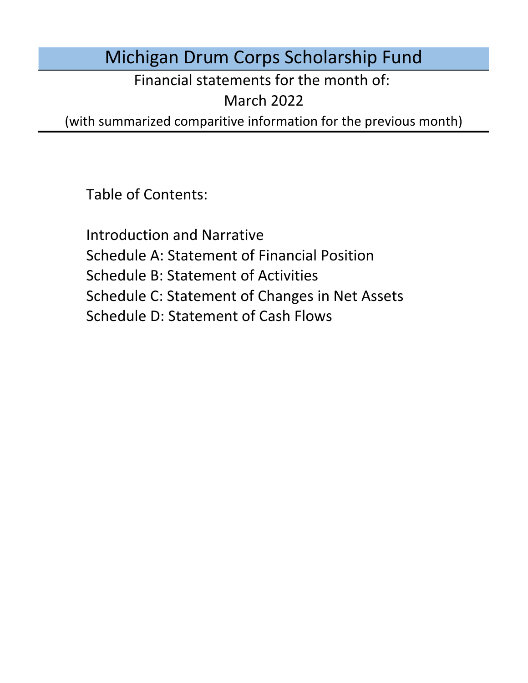# Michigan Drum Corps Scholarship Fund

Financial statements for the month of:

March 2022

(with summarized comparitive information for the previous month)

Table of Contents:

Schedule D: Statement of Cash Flows Introduction and Narrative Schedule A: Statement of Financial Position Schedule B: Statement of Activities Schedule C: Statement of Changes in Net Assets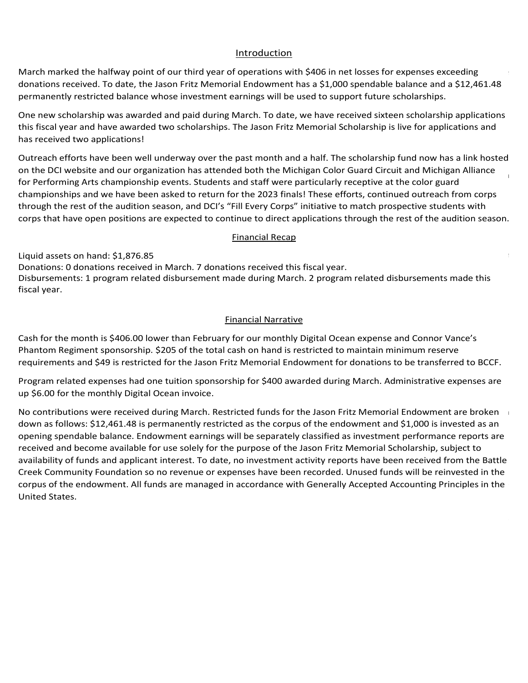### Introduction Introduction Introduction Introduction

Introduction<br>March marked the halfway point of our third year of operations with \$406 in net losses for expenses exceeding <u>Introduction</u><br>March marked the halfway point of our third year of operations with \$406 in net losses for expenses exceeding<br>donations received. To date, the Jason Fritz Memorial Endowment has a \$1,000 spendable balance an permanently restricted balance whose investment earnings will be used to support future scholarships.

One new scholarship was awarded and paid during March. To date, we have received sixteen scholarship applications this fiscal year and have awarded two scholarships. The Jason Fritz Memorial Scholarship is live for applications and<br>has received two applications! this fiscal year and have awarded two scholarships. The Jason Fritz Memorial Scholarship is live for applications and<br>has received two applications!<br>Outreach efforts have been well underway over the past month and a half. has received two applications! Murray to the board is a certified nurse producer is a certified nurse producer in the Battle Creek area, a veteran of the Battle Creek area, a veteran of the Battle Creek area, a veteran of the Battle Creek area, a vetera Performance are associated association, to discuss the outstanding scholarships for Echo Bennett and Emily Neher. implement in application is:<br> $\frac{1}{2}$  and  $\frac{1}{2}$  and  $\frac{1}{2}$  and  $\frac{1}{2}$  and  $\frac{1}{2}$  and  $\frac{1}{2}$  and  $\frac{1}{2}$  and  $\frac{1}{2}$  and  $\frac{1}{2}$  and  $\frac{1}{2}$  and  $\frac{1}{2}$  and  $\frac{1}{2}$  and  $\frac{1}{2}$  and  $\frac{1}{2}$  a One hew scholarship was awarded and paid during March. To date, we have received sixteen scholarship applications<br>this fixed weekend have awarded two scholarships. The board Filte Marchaid Cabalarship is live for exclipati this fiscal year and have awarded two scholarships. The sason rintz foemorial scholarship is live for a<br>I One hew scholarship was awarded and paid during march. To date, we have received sixteen scholarship applications<br>this fixed weekend have awarded two scholarships. The laser Fritz Marcarial Cabalarship is live for exclipat One new scholarship was awarded and paid during warch. To date, we have received sixteen scholarship applications<br>this fiscal year and have awarded two scholarships. The Jason Fritz Memorial Scholarship is live for applica fully fiscal year and have awarded two scholarships. The Jason Fritz wiemonal scholarship is live for applications an<br>International mask except for the mask except for the mask except for the mask except for a mask except  $h$ ias received two applications:  $\overline{a}$ che hew scholarship was awarded and paid during wiarch. To date, we have received sixteen scholarship application<br>this fixed uses and have awarded two sales bushing The Jacon Fifte Memorial Gabalandin is live for amdiostic this fistal year and have awarded two scholarships. The Jason Fritz wienform scholarship is live for applications<br>I required by Drum Corps Internations received vacancies, and conditions received vacancies, and conditions conditions conditions conditions continue to improve, the 2021 students received variables of  $\alpha$ One hew scholarship was awarded and paid during iviarch. To date, we have received sixteen scholarship ap<br>this final was a sud-law awarded two asked which The Jacon Fitte Marcarial Sakedonkin is live for an listi this fiscal year and have awarded two scholarships. The Jason Fritz Memorial Scholarship is live for applications and<br>. st, Michigan no longer has outdoor capacity limits, induces are limited to 50% capacity, and social gatherings,  $\alpha$ Fritz Memorial Endowment has a \$1,000 spendable balance and a \$12,461.48 whose investment earnings will be used to support future scholarships.<br>The dand paid during March. To date, we have received sixteen scholarship appl

Qutroach offerts have been well un Outreach efforts have been well underway over the past month and a half. The scholarship fund now has a link hoste<br>on the DCI website and our organization has attended both the Michigan Color Guard Circuit and Michigan All for Performing Arts championship events. Students and staff were particularly receptive at the color guard through the rest of the audition season, and DCI's "Fill Every Corps" initiative to match prospective students with January marked the fifth month of operations for the fund under its declared fiscal year. Cash for the through the rest of the audition season, and DCI's "Fill Every Corps" initiative to match prospective students with<br>corps that have open positions are expected to continue to direct applications through the rest of the aud for Performing Arts championship events. Students and staff were particularly receptive at the color guard<br>championships and we have been asked to return for the 2023 finals! These efforts, continued outreach from corps<br>th corps that have open positions are expected to continue to direct applications through the rest of the audition seasor<br>Corps that have open positions are expected to continue to direct applications through the rest of the and a step data no age-outs above the passes investment has a \$1,000 spendable balance and a \$12,461.48<br>alance whose investment earnings will be used to support future scholarships.<br>awarded and paid during March. To date, our third year of operations with \$406 in net bioses for expenses exceeding<br>our third year of operations with 8406 in net bioses for expenses exceeding<br>are investment armings will be used to support future scholarships.<br>An Outreach efforts have been well underway over the past month and a half. The scholarship fund now has a link hosted<br>an the PSL website and surrounce institutes has therefold beth the Michigan Galan Guard Ginetical Michigan on the DCI website and our organization mas attenued both the ivilenigan Color Guard Circuit and ivilenigan Ama<br>Component of instructors. In the instructors of instructors. In the instructors of instructors and instructors championships and we have been asked to return for the 2023 finals! These efforts, continued outreach from corps<br>through the rest of the sudition access and DGVs "Fill Frems Come" initiation to match among stire students w The scholarship fund flow has a fink flost<br>the DCI website and our organization has attended both the Michigan Color Guard Circuit and Michigan Alliance<br>Performing Arts championship events. Students and staff were particul Out each end is have been wen underway over the past month and a name the scholarship rund now has a mix hoster<br>The DCI website and supported in the attended both the Michigan CalanCused Circuit and Michigan Alliance. corps that have open positions are expected to continue to direct applications through the rest of the audition seasor as of February 13, the fund has received no new student applications. The fund has received applications. The f<br>Contract and the fund has received and the fund of the fund of the fund has received and the fund has received put each end is note been wen underway over the past more contained to be a structure. for Performing Arts championship events. Students and staff were particularly receptive at the color guard championships and we have been asked to return for the 2023 finals! These efforts, continued outreach from corps th on the DCI website and our organization has attended both the Michigan Color Guard Circuit and Michigan Alliance championsinps and<br>there we the sector The board conduct the board convents the board convents the SAPP Fritz Memorial Scholarship to the Color Business that will be disturbed in the Unit of the SAPP from the disturbed of the Memorial Scholarship that will be d tharmoutings and we have been asked to return for the 2023 mials: These enorts, continued outreach from corps<br>through the rest of the evolution assessment DCVs (Cill ExampCorps) initiation to match means ative students wit corps that have open positions are expected to continue to unect applications through the rest or the aut Fundaming Arts championship events. Students and starr were particularly receptive at the color guard<br>skannigation and the kann kase asked to actum for the 2022 final of these affects, continued actually form and a thampionships and we have been asked to return for the zozo mials: These enorts, continued outreach mom corps<br>these of the sect of the evolution eccess (see PCVs (Cill Execute the initiative to match execute the decisions coreation of an endowment for persons and the persons in the persons included as we receive students with the<br>The provided as we receive feedback as we receive feedback feedback feedback feedback feedback feedback feedba corps that have open Fundaming Fund manpuls in period. Scholarship Funds and start were particularly receptive at the color guardia<br>In fund starting and the fact have formed to astem funtha 2022 finalel These offerts, continued subsect fund as The date is the endowment raised for the endowment with  $\frac{1}{2}$ corps that have open positions are expected to continue to direct applications through the rest of the audition season. Outreach enorts have been wen underway over the past month and a name interscholarship fund now has a mix-<br>The BC website and sourcesses institute has attended both the Michigan Color Community on Michigan, Allie on the DCI website and our organization has attended both the Michigan Color Guard Circuit and Michigan Alliance<br>Sample School and the University of the Circuit of Circuit and Circuit and the University of the University o championships and we have been asked to return for the 2023 finals! These efforts, continued outreach from corps<br>through the rest of the sudition cores and DCKs "Fill From Cours" isitiative to match answer sting students w Outreach efforts have been well underway over the past month and a half. The scholarship fund now has a link hosted

### month is 2009. Financial recap. \$205 of the total cash on hand is currently restricted to maintain restricted to maintain  $\mathcal{L}$  $\frac{745}{200}$  restricted than  $\frac{1}{200}$  of the total cash on  $\frac{1}{200}$  restricted to maintain  $\frac{1}{200}$  restricted to maintain  $\frac{1}{200}$  restricted to maintain  $\frac{1}{200}$  restricted to maintain  $\frac{1}{200}$  restric e Solomonto as decisions as decisions are made. The provided as decisions are made. The provided as decisions are made. The provided as decisions are made. The provided as decisions are made. The provided as  $\epsilon$  $$ 35 of Division 1 *Division 1 Class corps, officially kicked off one and the show selections* based on fancy selections based on fancy selections based on fancy selections based on fancy selections based on fancy selections conducted virtually, housing sites will be more difficult to find, and an increased emphasis on hygiene and  $\frac{m_{\text{union}}}{2}$  requires for each ensemble. Potential to each ensemble. Potential to  $\frac{m_{\text{ion}}}{2}$ more difficult to find, and an increased emphasis on hygiene and substantial process improvements for each ensemble. Potential to the ensemble of ensemble. Potential to the ensemble On November 9th, Pfizer and Biontech announced a vaccine candidate to prevent COVID-19 that was found to be  $\frac{1}{2}$ mancial. Necap August 12 mittee meetings, research, and discussions are only and discussions are only annual meeting for the annual meeting for the annual meeting for the annual meeting for the annual meeting for the annual meeting for t instruction sessions. River City Rhythm continues to host their RCR Winter Experience and Distant Harmonies programs for virtual instruction and performance opportunities. Legends has not announced a virtual learning has not announced a virtual learning materials in the second and performance of announced a virtual learning mate  $T_{\text{inert}}$  announced Theorem for video auditions, monthly classes, and private auditions, monthly classes, and private  $T_{\text{inert}}$ <u>international security</u> Rhythm continues to host the international Recruit Recruit Recruit Harmonies and Distance and Distance and Distance and Distance and Distance and Distance and Distance and Distance and Distance and  $\mathbf{F}_{\text{in}}$  and the 2020 season in contact with all sponsored students from the 2020 season as we prepare for the 2020 season as we prepare for the 2020 season as we prepare for the 2020 season as we prepare for the 202 2021 season and has confirmed that Abbey Trach is participated with River City Rhythm and Jaden McCallum will be a season of the River City Rhythm and Jaden McCallum will be a season of the River City Rhythm and Jaden McCa  $T$ manciar $\vec{C}$  no new applications during May but paid  $\vec{C}$ and approved one new application for Echo Bennett during June. We use during  $\frac{1}{2}$ une. We used the  $\frac{400}{2}$  $2020$  and this year's sponsored students, we have a total of four students marching with the corps three corps that summer: Jaden McCallum and Echo Bennett with Phantom Regiment, Abbey Trach with River City Rhythm, and Kaitlyn Colyer Jaden McCallum and Echo Bennett with Phantom Regiment, Abbey Trach with River City Rhythm, and Kaitlyn Colyer with the Madison Scouts. The Madison Scouts. The Madison Scouts. They participate they participated in the Wales of the Wales of the Wales of the Wales of the Wales of the Wales of the Wales of the Wales of the Wales of th

Liquid assets on hand: \$1,876.85 contract to the set of the set of the set of the set of the set of the set of Liquid assets on hand: \$1,876.85<br>Donations: 0 donations received in March. 7 donations received this fiscal year.<br>Disbursements: 1 program related disbursement made during March. 2 program related disbursements made this<br>f  $\mathsf{f}$ iscal year. The business charged to the business checking account. Program expected to the business are expected to the business are expected to the business are expected to the business are expected to the busine  $\epsilon$  fiscal year. The monotonic charged to the monthly Digital Ocean involving account. Einancial Recap<br>Liquid assets on hand: \$1,876.85<br>Donations: 0 donations received in March. 7 donations received this fiscal year.  $L_{\text{S}}$  assets on  $\mathcal{L}_{\text{S}}$  $D<sub>2</sub>$  donations received during  $D<sub>2</sub>$  during  $D<sub>3</sub>$  during  $D<sub>4</sub>$  during  $D<sub>5</sub>$  during  $D<sub>6</sub>$ following the annual meeting of voting drum corps directors in January 2021. The board will continue to monitor the  $\bf{f}$ iscal year. The board continues to monitor the marching arts and will provide updates to all interested updates to all interested updates to all interested updates to all interested updates to all interested update fiscal year. Cavaliers, Colts, Madison Scouts, and Phantom Regiment in their respective home regions. All of our sponsored  $\rho$  fiscal year. We will be participating with  $\rho$  and  $\rho$  and  $\rho$  with  $P$  and  $\rho$  will be participating with  $\rho$  will be participating with  $\rho$  and  $\rho$  will be participating with  $\rho$  will be participate with  $\r$  ${\bf fixed}$  year. Crossmen has not refund requests to  ${\bf C}$  $\Gamma$  madison  $\Gamma$  with the Madison Scouts. Note that  $C$  refunds to  $\Gamma$  refund requests to  $\Gamma$ Financial Recapation Recapation Recapation

### Financial Narrative  $E$ inancial Narrativo Financial Narrative Financial Recap Disbursements: 0 program related disbursements during December. 0 program related disbursements made this fiscal 0 disbursements July. 2 program related disbursements have been made this Disbursements: 0 program related disbursements during August. 2 program related disbursements have been made this financial warractive

Cash for the month is \$406.00 lower than February for our monthly Digital Ocean expense and Connor Vance's Cash for the month is \$406.00 lower than February for our monthly Digital Ocean expense and Connor Vance's<br>Phantom Regiment sponsorship. \$205 of the total cash on hand is restricted to maintain minimum reserve With the cancellation of the 2020 season, program experience are expenses are expected to either remain at the year-torequirements and \$49 is restricted for the Jason Fritz Memorial Endowment for donations to be transferred to BCCF **Einancial Narrative**<br>195.00 lower than February for our monthly D<br>1956.5205 of the total cash on hand is res<br>1956.1527 restricted for the Jason Fritz Memorial Endo Einancial Narrative<br>Cash for the month is \$406.00 lower than February for our monthly Digital Ocean expense and Connor Vance's Disbursements: 0 program related disbursements during October. 0 program related disbursements made this fiscal Donations: 4 PayPal donations transferred in November. requirements and \$49 is restricted for the Jason Fritz Memorial Endowment for donations to be transferred to BCCF. requirements and \$49 is restricted for the Jason Fritz Memorial Endowment for donations to be transferred to BCCF.<br> Phantom Regiment sponsorship. \$205 of the total cash on hand is restricted to maintain minimum reserve<br>requirements and \$49 is restricted for the Jason Fritz Memorial Endowment for donations to be transferred to BCCF.<br>requirements and \$49 is restricted for the Jason Fritz Memorial Endowment for donations to be transferred to BCCF.

Program related expenses had one tuition sponsorship for \$400 awarded during March. Administrative expenses are up \$6.00 for the monthly Digital Ocean invoice.<br> Program related expenses had one tumon sponsorship for \$400 awarded during iviarch. Administrative expense<br>.... CC 00 for the menthly Digital Osean invaice up yoloo for the monthly eighter ocean invoice. lower than June than June 205 the total cash of the total cash on is currently restricted to maintain the total September – August though the bylaws stated that the organization's declared fiscal year runs from Program related expenses had one tuition sponsorship for \$400 awarded during March. Administrative expenses are<br>up \$6.00 far the manthly Digital Ossan invaise Program related expenses had one tuition sponsorship for \$400 awarded during March. Administrative expenses are Program related expenses had one tuition sponsorsmp for \$400 awarded during iviarch. Administrative expenses are<br>محمد المستعدد العالمية في المستعدد العالمية في المستعدد العالمية في المستعدد العالمية المستعدد العالمية المست by the corps in June. Prepaid adjustments were made during May for Jaden's and Abbey's sponsorships to recognize Program related expenses had one tuition sponsorship for \$400 awarded during March. Administrative expenses are<br>up \$6.00 for the monthly Digital Ocean invoice.<br>No contributions were received during March. Restricted funds 2021 season.

No contributions were received during March. Restricted funds for the Jason Fritz Memorial Endowment are broker down as follows: \$12,461,48 is nermanently restricted as the cornus of the endowment and \$1,000 is invested as an opening spendable balance. Endowment earnings will be separately classified as investment performance reports are received and become available for use solely for the purpose of the Jason Fritz Memorial Scholarship, subject to<br>availability of funds and surficent interest. To data as investment activity are not have been reseived from availability of funds and applicant interest. To date, no investment activity reports have been received from the Battle<br>Creak Community Foundation so no revenue or evenings have been recepted. Unused funds will be reinves Creek Community redinguiton so no revenue or expenses have been recorded. Onased rands win be reinvested in th<br>Corpus of the endowment. All funds are managed in accordance with Generally Accorded Accounting Principles in t creek community roundation so no revenue or expenses have been recorded. Onased rands will be reinvested in the<br>corpus of the endowment. All funds are managed in accordance with Generally Accepted Accounting Principles in Creek Community Foundation so no revenue or expenses have been recorded. Unused funds will be reinvested in the<br>commo of the end purport, All funds are monoged in accordance with General Accorded Accounting Principles in t filing fee, and Paypal fees. Accepted Accounting Principles in the United States. United States.  $\frac{1}{2}$  as follows. The first month of operations for the fund in our second first month in  $\frac{1}{2}$  and  $\frac{1}{2}$  lower the month is invested as af opering spendable balance. Endowment earlings will be separately classified as investment performance reports a<br>Interioral and handware available for use only for the number of the lange Filte Managital Cabalanchine subjec oorpas of the enabwment. All ranas are managed in accordance with defierally Accepted Accounting Frinc<br>Heitod States United States. down as follows: \$12,461.48 is permanently restricted as the corpus of the endowment and \$1,000 is invested as opening spend corpus of the endowment. All funds are managed in accordance with Generally Accepted Accounting Principles in the United States. The General ly Accepted Accounting Principles in the United Accepted Accounting Principles in the United States. down as follows: \$12,461.48 is permanently restricted as the corpus of the endowment and \$1,000 is invested as an opening spendable balance. Endowment earnings will be separately classified as investment performance reports<br>species and has experienced in former solds for the summer sold the lease Fritz Manuscial Scholarship subject to No funds are currently restricted by outside donors. All restrictions made by the Board are included under under under under the Board are included under the Board are included under the Board are included under under the No contributions were received during March. Restricted funds for the Jason Fritz Memorial Endowment are broken opening spendable balance. Endowment earnings will be separately classified as investment performance reports a Program relations did not change during March. Administrative expenses are up \$6.00 for the monthly Digital March. Administrative expenses are up \$6.00 for the monthly Digital March. Administrative expenses are up \$6.00 fo Creek Community Foundation so no revenue or expenses have been recorded. Unused funds will be reinvested in the Program relations did not change during April. Administrative expenses are up \$6.000 for the monthly Digital Digital Digital Digital Digital Digital Digital Digital Digital Digital Digital Digital Digital Digital Digital D availability of funds and applicant interest. To date, no investment activity reports have been received from the Battle March marked the half way onit of our third year of operations with S40k in nel tosses for expenses exceeding<br>Unrating marked the first month of the time of the states and the states and the states and the states and the s United States.<br>United States. down as follows: \$12,461.48 is permanently restricted as the corpus of the endowment and \$1,000 is invested as an opening spendable balance. Endowment earnings will be separately classified as investment performance reports are<br>received and become available for use solely for the purpose of the Jason Fritz Memorial Scholarship, subjec and applicant interest. United States. Will be reinvested in the corpus of the endowment. All funds are managed in the endowment. All funds are managed in the endowment. All funds are managed in the endowment of the endowm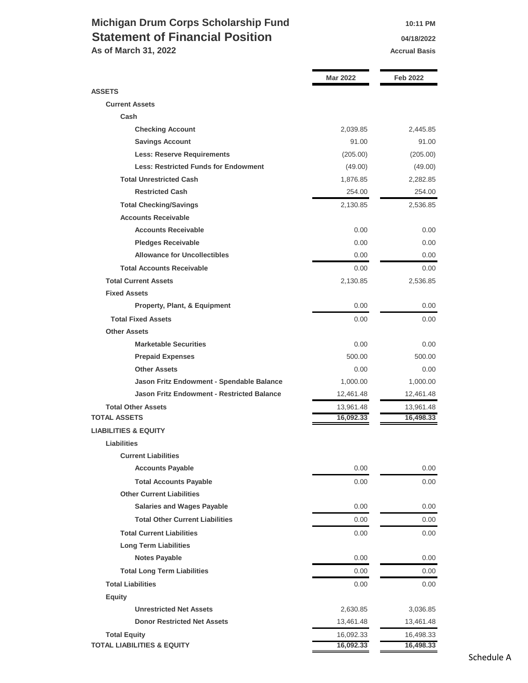## **Michigan Drum Corps Scholarship Fund 10:11 PM Statement of Financial Position 1976 1976 04/18/2022**

**As of March 31, 2022 Accrual Basis Accrual Basis** 

|                                                   | <b>Mar 2022</b> | <b>Feb 2022</b> |
|---------------------------------------------------|-----------------|-----------------|
| <b>ASSETS</b>                                     |                 |                 |
| <b>Current Assets</b>                             |                 |                 |
| Cash                                              |                 |                 |
| <b>Checking Account</b>                           | 2,039.85        | 2,445.85        |
| <b>Savings Account</b>                            | 91.00           | 91.00           |
| <b>Less: Reserve Requirements</b>                 | (205.00)        | (205.00)        |
| <b>Less: Restricted Funds for Endowment</b>       | (49.00)         | (49.00)         |
| <b>Total Unrestricted Cash</b>                    | 1,876.85        | 2,282.85        |
| <b>Restricted Cash</b>                            | 254.00          | 254.00          |
| <b>Total Checking/Savings</b>                     | 2,130.85        | 2,536.85        |
| <b>Accounts Receivable</b>                        |                 |                 |
| <b>Accounts Receivable</b>                        | 0.00            | 0.00            |
| <b>Pledges Receivable</b>                         | 0.00            | 0.00            |
| <b>Allowance for Uncollectibles</b>               | 0.00            | 0.00            |
| <b>Total Accounts Receivable</b>                  | 0.00            | 0.00            |
| <b>Total Current Assets</b>                       | 2,130.85        | 2,536.85        |
| <b>Fixed Assets</b>                               |                 |                 |
| <b>Property, Plant, &amp; Equipment</b>           | 0.00            | 0.00            |
| <b>Total Fixed Assets</b>                         | 0.00            | 0.00            |
| <b>Other Assets</b>                               |                 |                 |
| <b>Marketable Securities</b>                      | 0.00            | 0.00            |
| <b>Prepaid Expenses</b>                           | 500.00          | 500.00          |
| <b>Other Assets</b>                               | 0.00            | 0.00            |
| Jason Fritz Endowment - Spendable Balance         | 1,000.00        | 1,000.00        |
| <b>Jason Fritz Endowment - Restricted Balance</b> | 12,461.48       | 12,461.48       |
| <b>Total Other Assets</b>                         | 13,961.48       | 13,961.48       |
| <b>TOTAL ASSETS</b>                               | 16,092.33       | 16,498.33       |
| <b>LIABILITIES &amp; EQUITY</b>                   |                 |                 |
| <b>Liabilities</b>                                |                 |                 |
| <b>Current Liabilities</b>                        |                 |                 |
| <b>Accounts Payable</b>                           | 0.00            | 0.00            |
| <b>Total Accounts Payable</b>                     | 0.00            | 0.00            |
| <b>Other Current Liabilities</b>                  |                 |                 |
| <b>Salaries and Wages Payable</b>                 | 0.00            | 0.00            |
| <b>Total Other Current Liabilities</b>            | 0.00            | 0.00            |
| <b>Total Current Liabilities</b>                  | 0.00            | 0.00            |
| <b>Long Term Liabilities</b>                      |                 |                 |
| <b>Notes Payable</b>                              | 0.00            | 0.00            |
| <b>Total Long Term Liabilities</b>                | 0.00            | 0.00            |
| <b>Total Liabilities</b>                          | 0.00            | 0.00            |
| <b>Equity</b>                                     |                 |                 |
| <b>Unrestricted Net Assets</b>                    | 2,630.85        | 3,036.85        |
| <b>Donor Restricted Net Assets</b>                | 13,461.48       | 13,461.48       |
| <b>Total Equity</b>                               | 16,092.33       | 16,498.33       |
| <b>TOTAL LIABILITIES &amp; EQUITY</b>             | 16,092.33       | 16,498.33       |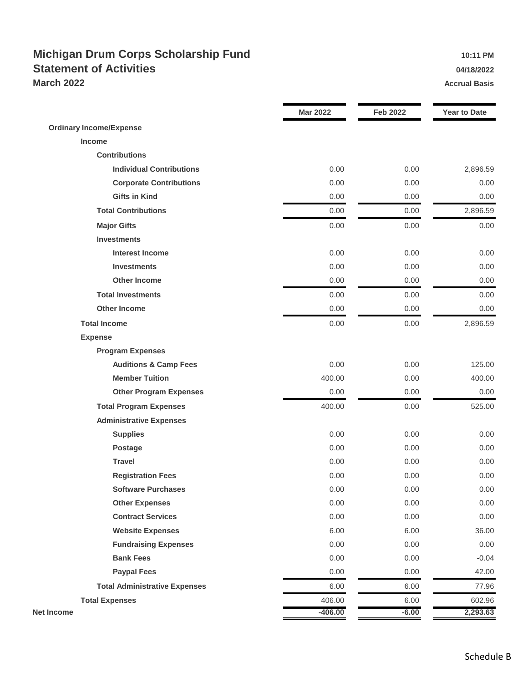### **Michigan Drum Corps Scholarship Fund 10:11 PM Statement of Activities 04/18/2022 March 2022 Accrual Basis Accrual Basis**

|                                      | <b>Mar 2022</b> | <b>Feb 2022</b> | <b>Year to Date</b> |
|--------------------------------------|-----------------|-----------------|---------------------|
| <b>Ordinary Income/Expense</b>       |                 |                 |                     |
| Income                               |                 |                 |                     |
| <b>Contributions</b>                 |                 |                 |                     |
| <b>Individual Contributions</b>      | 0.00            | 0.00            | 2,896.59            |
| <b>Corporate Contributions</b>       | 0.00            | 0.00            | 0.00                |
| <b>Gifts in Kind</b>                 | 0.00            | 0.00            | 0.00                |
| <b>Total Contributions</b>           | 0.00            | 0.00            | 2,896.59            |
| <b>Major Gifts</b>                   | 0.00            | 0.00            | 0.00                |
| <b>Investments</b>                   |                 |                 |                     |
| <b>Interest Income</b>               | 0.00            | 0.00            | 0.00                |
| <b>Investments</b>                   | 0.00            | 0.00            | 0.00                |
| <b>Other Income</b>                  | 0.00            | 0.00            | 0.00                |
| <b>Total Investments</b>             | 0.00            | 0.00            | 0.00                |
| <b>Other Income</b>                  | 0.00            | 0.00            | 0.00                |
| <b>Total Income</b>                  | 0.00            | 0.00            | 2,896.59            |
| <b>Expense</b>                       |                 |                 |                     |
| <b>Program Expenses</b>              |                 |                 |                     |
| <b>Auditions &amp; Camp Fees</b>     | 0.00            | 0.00            | 125.00              |
| <b>Member Tuition</b>                | 400.00          | 0.00            | 400.00              |
| <b>Other Program Expenses</b>        | 0.00            | 0.00            | 0.00                |
| <b>Total Program Expenses</b>        | 400.00          | 0.00            | 525.00              |
| <b>Administrative Expenses</b>       |                 |                 |                     |
| <b>Supplies</b>                      | 0.00            | 0.00            | 0.00                |
| <b>Postage</b>                       | 0.00            | 0.00            | 0.00                |
| <b>Travel</b>                        | 0.00            | 0.00            | 0.00                |
| <b>Registration Fees</b>             | 0.00            | 0.00            | 0.00                |
| <b>Software Purchases</b>            | 0.00            | 0.00            | 0.00                |
| <b>Other Expenses</b>                | 0.00            | 0.00            | 0.00                |
| <b>Contract Services</b>             | 0.00            | 0.00            | 0.00                |
| <b>Website Expenses</b>              | 6.00            | 6.00            | 36.00               |
| <b>Fundraising Expenses</b>          | 0.00            | 0.00            | 0.00                |
| <b>Bank Fees</b>                     | 0.00            | 0.00            | $-0.04$             |
| <b>Paypal Fees</b>                   | 0.00            | 0.00            | 42.00               |
| <b>Total Administrative Expenses</b> | 6.00            | 6.00            | 77.96               |
| <b>Total Expenses</b>                | 406.00          | 6.00            | 602.96              |
| Net Income                           | $-406.00$       | $-6.00$         | 2,293.63            |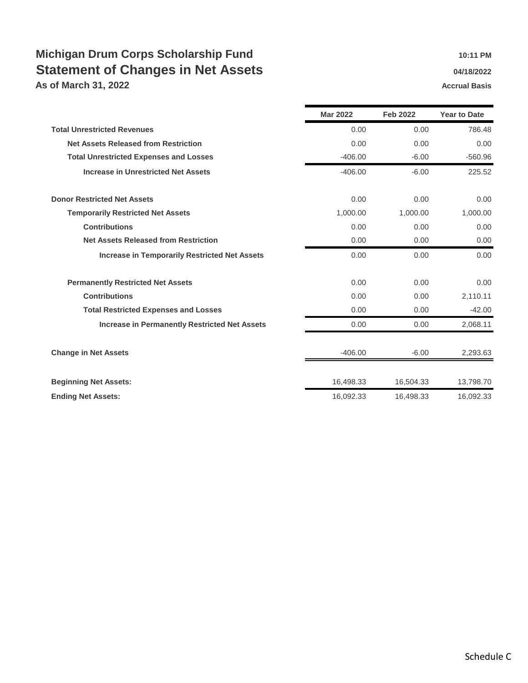# **Michigan Drum Corps Scholarship Fund 10:11 PM Statement of Changes in Net Assets 1988 120 120 121 13/2022**

**As of March 31, 2022 Accrual Basis Accrual Basis Accrual Basis** 

|                                                      | <b>Mar 2022</b> | <b>Feb 2022</b> | <b>Year to Date</b> |
|------------------------------------------------------|-----------------|-----------------|---------------------|
| <b>Total Unrestricted Revenues</b>                   | 0.00            | 0.00            | 786.48              |
| <b>Net Assets Released from Restriction</b>          | 0.00            | 0.00            | 0.00                |
| <b>Total Unrestricted Expenses and Losses</b>        | $-406.00$       | $-6.00$         | $-560.96$           |
| <b>Increase in Unrestricted Net Assets</b>           | $-406.00$       | $-6.00$         | 225.52              |
| <b>Donor Restricted Net Assets</b>                   | 0.00            | 0.00            | 0.00                |
| <b>Temporarily Restricted Net Assets</b>             | 1,000.00        | 1,000.00        | 1,000.00            |
| <b>Contributions</b>                                 | 0.00            | 0.00            | 0.00                |
| <b>Net Assets Released from Restriction</b>          | 0.00            | 0.00            | 0.00                |
| <b>Increase in Temporarily Restricted Net Assets</b> | 0.00            | 0.00            | 0.00                |
| <b>Permanently Restricted Net Assets</b>             | 0.00            | 0.00            | 0.00                |
| <b>Contributions</b>                                 | 0.00            | 0.00            | 2,110.11            |
| <b>Total Restricted Expenses and Losses</b>          | 0.00            | 0.00            | $-42.00$            |
| <b>Increase in Permanently Restricted Net Assets</b> | 0.00            | 0.00            | 2,068.11            |
| <b>Change in Net Assets</b>                          | $-406.00$       | $-6.00$         | 2,293.63            |
| <b>Beginning Net Assets:</b>                         | 16,498.33       | 16,504.33       | 13,798.70           |
| <b>Ending Net Assets:</b>                            | 16,092.33       | 16,498.33       | 16,092.33           |